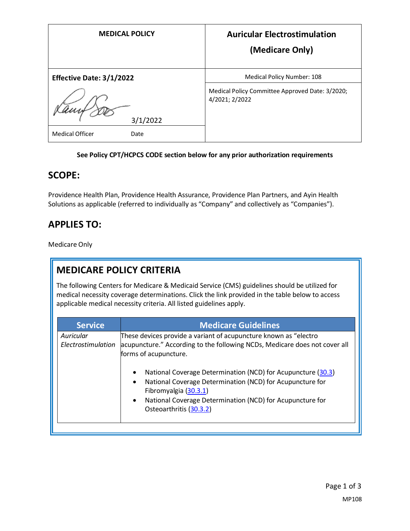| <b>MEDICAL POLICY</b>           | <b>Auricular Electrostimulation</b><br>(Medicare Only)            |
|---------------------------------|-------------------------------------------------------------------|
| <b>Effective Date: 3/1/2022</b> | <b>Medical Policy Number: 108</b>                                 |
| 3/1/2022                        | Medical Policy Committee Approved Date: 3/2020;<br>4/2021; 2/2022 |
| <b>Medical Officer</b><br>Date  |                                                                   |

#### **See Policy CPT/HCPCS CODE section below for any prior authorization requirements**

### **SCOPE:**

Providence Health Plan, Providence Health Assurance, Providence Plan Partners, and Ayin Health Solutions as applicable (referred to individually as "Company" and collectively as "Companies").

## **APPLIES TO:**

Medicare Only

# **MEDICARE POLICY CRITERIA**

The following Centers for Medicare & Medicaid Service (CMS) guidelines should be utilized for medical necessity coverage determinations. Click the link provided in the table below to access applicable medical necessity criteria. All listed guidelines apply.

| <b>Service</b>                  | <b>Medicare Guidelines</b>                                                                                                                                                                                                                                                        |
|---------------------------------|-----------------------------------------------------------------------------------------------------------------------------------------------------------------------------------------------------------------------------------------------------------------------------------|
| Auricular<br>Electrostimulation | These devices provide a variant of acupuncture known as "electro<br>acupuncture." According to the following NCDs, Medicare does not cover all<br>forms of acupuncture.                                                                                                           |
|                                 | National Coverage Determination (NCD) for Acupuncture (30.3)<br>$\bullet$<br>National Coverage Determination (NCD) for Acupuncture for<br>$\bullet$<br>Fibromyalgia (30.3.1)<br>National Coverage Determination (NCD) for Acupuncture for<br>$\bullet$<br>Osteoarthritis (30.3.2) |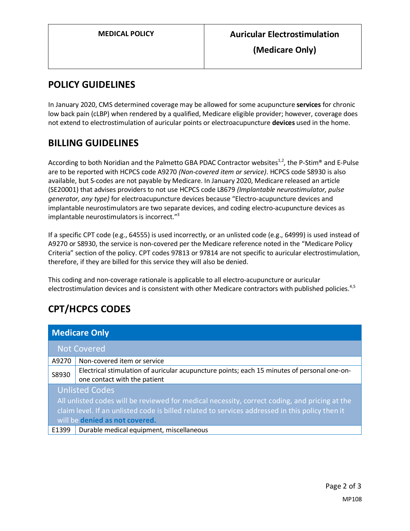**(Medicare Only)**

### **POLICY GUIDELINES**

In January 2020, CMS determined coverage may be allowed for some acupuncture **services** for chronic low back pain (cLBP) when rendered by a qualified, Medicare eligible provider; however, coverage does not extend to electrostimulation of auricular points or electroacupuncture **devices** used in the home.

## **BILLING GUIDELINES**

According to both Noridian and the Palmetto GBA PDAC Contractor websites<sup>1,2</sup>, the P-Stim® and E-Pulse are to be reported with HCPCS code A9270 *(Non-covered item or service)*. HCPCS code S8930 is also available, but S-codes are not payable by Medicare. In January 2020, Medicare released an article (SE20001) that advises providers to not use HCPCS code L8679 *(Implantable neurostimulator, pulse generator, any type)* for electroacupuncture devices because "Electro-acupuncture devices and implantable neurostimulators are two separate devices, and coding electro-acupuncture devices as implantable neurostimulators is incorrect."<sup>3</sup>

If a specific CPT code (e.g., 64555) is used incorrectly, or an unlisted code (e.g., 64999) is used instead of A9270 or S8930, the service is non-covered per the Medicare reference noted in the "Medicare Policy Criteria" section of the policy. CPT codes 97813 or 97814 are not specific to auricular electrostimulation, therefore, if they are billed for this service they will also be denied.

This coding and non-coverage rationale is applicable to all electro-acupuncture or auricular electrostimulation devices and is consistent with other Medicare contractors with published policies.<sup>4,5</sup>

# **CPT/HCPCS CODES**

| <b>Medicare Only</b>                                                                                                                                                                                                                                        |                                                                                                                             |
|-------------------------------------------------------------------------------------------------------------------------------------------------------------------------------------------------------------------------------------------------------------|-----------------------------------------------------------------------------------------------------------------------------|
|                                                                                                                                                                                                                                                             | <b>Not Covered</b>                                                                                                          |
| A9270                                                                                                                                                                                                                                                       | Non-covered item or service                                                                                                 |
| S8930                                                                                                                                                                                                                                                       | Electrical stimulation of auricular acupuncture points; each 15 minutes of personal one-on-<br>one contact with the patient |
| <b>Unlisted Codes</b><br>All unlisted codes will be reviewed for medical necessity, correct coding, and pricing at the<br>claim level. If an unlisted code is billed related to services addressed in this policy then it<br>will be denied as not covered. |                                                                                                                             |
| E1399                                                                                                                                                                                                                                                       | Durable medical equipment, miscellaneous                                                                                    |